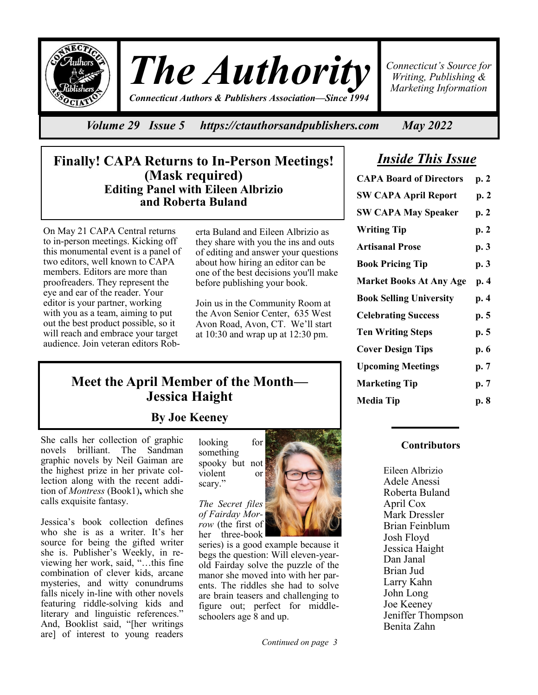

*The Authority Connecticut Authors & Publishers Association—Since 1994*

*Connecticut's Source for Writing, Publishing & Marketing Information*

*Volume 29 Issue 5 https://ctauthorsandpublishers.com May 2022*

# *Inside This Issue*

| <b>CAPA Board of Directors</b> | p. 2 |
|--------------------------------|------|
| <b>SW CAPA April Report</b>    | p.2  |
| <b>SW CAPA May Speaker</b>     | p. 2 |
| <b>Writing Tip</b>             | p. 2 |
| <b>Artisanal Prose</b>         | p. 3 |
| <b>Book Pricing Tip</b>        | p. 3 |
| <b>Market Books At Any Age</b> | p. 4 |
| <b>Book Selling University</b> | p. 4 |
| <b>Celebrating Success</b>     | p. 5 |
| <b>Ten Writing Steps</b>       | p. 5 |
| <b>Cover Design Tips</b>       | p. 6 |
| <b>Upcoming Meetings</b>       | p. 7 |
| <b>Marketing Tip</b>           | p. 7 |
| <b>Media Tip</b>               | p. 8 |
|                                |      |

# **Finally! CAPA Returns to In-Person Meetings! (Mask required) Editing Panel with Eileen Albrizio and Roberta Buland**

On May 21 CAPA Central returns to in-person meetings. Kicking off this monumental event is a panel of two editors, well known to CAPA members. Editors are more than proofreaders. They represent the eye and ear of the reader. Your editor is your partner, working with you as a team, aiming to put out the best product possible, so it will reach and embrace your target audience. Join veteran editors Roberta Buland and Eileen Albrizio as they share with you the ins and outs of editing and answer your questions about how hiring an editor can be one of the best decisions you'll make before publishing your book.

Join us in the Community Room at the Avon Senior Center, 635 West Avon Road, Avon, CT. We'll start at 10:30 and wrap up at 12:30 pm.

# **Meet the April Member of the Month— Jessica Haight**

**By Joe Keeney**

She calls her collection of graphic novels brilliant. The Sandman graphic novels by Neil Gaiman are the highest prize in her private collection along with the recent addition of *Montress* (Book1)**,** which she calls exquisite fantasy.

Jessica's book collection defines who she is as a writer. It's her source for being the gifted writer she is. Publisher's Weekly, in reviewing her work, said, "…this fine combination of clever kids, arcane mysteries, and witty conundrums falls nicely in-line with other novels featuring riddle-solving kids and literary and linguistic references." And, Booklist said, "[her writings are] of interest to young readers

looking for something spooky but not violent or scary."



*The Secret files of Fairday Morrow* (the first of her three-book

series) is a good example because it begs the question: Will eleven-yearold Fairday solve the puzzle of the manor she moved into with her parents. The riddles she had to solve are brain teasers and challenging to figure out; perfect for middleschoolers age 8 and up.

### **Contributors**

Eileen Albrizio Adele Anessi Roberta Buland April Cox Mark Dressler Brian Feinblum Josh Floyd Jessica Haight Dan Janal Brian Jud Larry Kahn John Long Joe Keeney Jeniffer Thompson Benita Zahn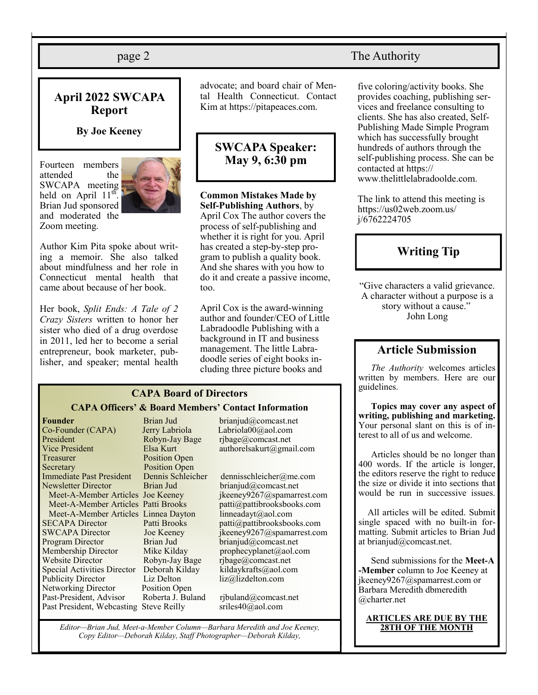### **April 2022 SWCAPA Report**

#### **By Joe Keeney**

Fourteen members attended the SWCAPA meeting held on April 11<sup>th</sup> Brian Jud sponsored and moderated the Zoom meeting.



Author Kim Pita spoke about writing a memoir. She also talked about mindfulness and her role in Connecticut mental health that came about because of her book.

Her book, *Split Ends: A Tale of 2 Crazy Sisters* written to honor her sister who died of a drug overdose in 2011, led her to become a serial entrepreneur, book marketer, publisher, and speaker; mental health

advocate; and board chair of Mental Health Connecticut. Contact Kim at https://pitapeaces.com.

# **SWCAPA Speaker: May 9, 6:30 pm**

**Common Mistakes Made by Self-Publishing Authors**, by April Cox The author covers the process of self-publishing and whether it is right for you. April has created a step-by-step program to publish a quality book. And she shares with you how to do it and create a passive income, too.

April Cox is the award-winning author and founder/CEO of Little Labradoodle Publishing with a background in IT and business management. The little Labradoodle series of eight books including three picture books and

#### **CAPA Board of Directors CAPA Officers' & Board Members' Contact Information**

**Founder** Brian Jud brianjud@comcast.net<br>
Co-Founder (CAPA) Jerry Labriola Labriola00@aol.com Co-Founder (CAPA) Jerry Labriola President Robyn-Jay Bage rjbage@comcast.net<br>
Vice President Elsa Kurt authorelsakurt@gma Treasurer Position Open Secretary Position Open Immediate Past President Dennis Schleicher dennisschleicher@me.com Newsletter Director Brian Jud brianjud@comcast.net Meet-A-Member Articles Linnea Dayton linneadayt@aol.com Program Director Brian Jud brianjud@comcast.net Membership Director Mike Kilday prophecyplanet@aol.com Website Director Robyn-Jay Bage rjbage@comcast.net Special Activities Director Deborah Kilday kildaykrafts@aol.com Publicity Director Liz Delton liz@lizdelton.com Networking Director Position Open Past-President, Advisor Roberta J. Buland rjbuland@comcast.net Past President, Webcasting Steve Reilly sriles40@aol.com

Elsa Kurt authorelsakurt@gmail.com Meet-A-Member Articles Joe Keeney ikeeney9267@spamarrest.com Meet-A-Member Articles Patti Brooks patti@pattibrooksbooks.com

SECAPA Director Patti Brooks patti@pattibrooksbooks.com SWCAPA Director Joe Keeney jkeeney9267@spamarrest.com

*Editor—Brian Jud, Meet-a-Member Column—Barbara Meredith and Joe Keeney, Copy Editor—Deborah Kilday, Staff Photographer—Deborah Kilday,* 

### page 2 The Authority

five coloring/activity books. She provides coaching, publishing services and freelance consulting to clients. She has also created, Self-Publishing Made Simple Program which has successfully brought hundreds of authors through the self-publishing process. She can be contacted at https:// www.thelittlelabradoolde.com.

The link to attend this meeting is https://us02web.zoom.us/ j/6762224705

# **Writing Tip**

"Give characters a valid grievance. A character without a purpose is a story without a cause." John Long

# **Article Submission**

*The Authority* welcomes articles written by members. Here are our guidelines.

**Topics may cover any aspect of writing, publishing and marketing.**  Your personal slant on this is of interest to all of us and welcome.

Articles should be no longer than 400 words. If the article is longer, the editors reserve the right to reduce the size or divide it into sections that would be run in successive issues.

 All articles will be edited. Submit single spaced with no built-in formatting. Submit articles to Brian Jud at brianjud@comcast.net.

Send submissions for the **Meet-A -Member** column to Joe Keeney at jkeeney9267@spamarrest.com or Barbara Meredith dbmeredith @charter.net

# **ARTICLES ARE DUE BY THE**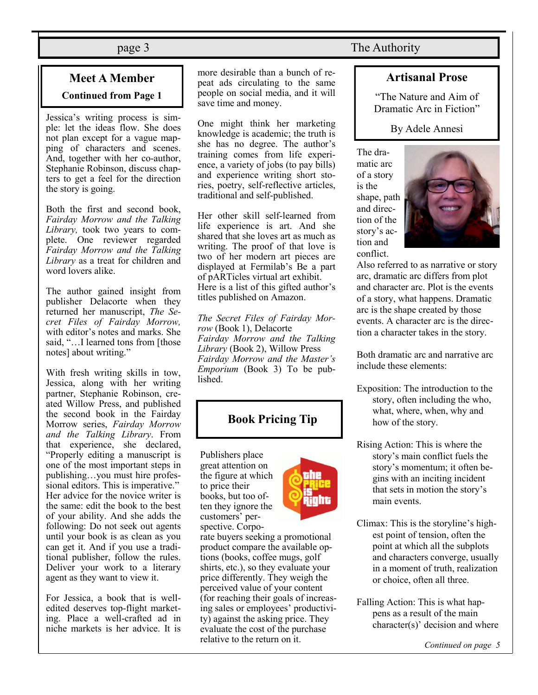# **Meet A Member Continued from Page 1**

Jessica's writing process is simple: let the ideas flow. She does not plan except for a vague mapping of characters and scenes. And, together with her co-author, Stephanie Robinson, discuss chapters to get a feel for the direction the story is going.

Both the first and second book, *Fairday Morrow and the Talking Library,* took two years to complete. One reviewer regarded *Fairday Morrow and the Talking Library* as a treat for children and word lovers alike.

The author gained insight from publisher Delacorte when they returned her manuscript, *The Secret Files of Fairday Morrow,* with editor's notes and marks. She said, "…I learned tons from [those notes] about writing."

With fresh writing skills in tow, Jessica, along with her writing partner, Stephanie Robinson, created Willow Press, and published the second book in the Fairday Morrow series, *Fairday Morrow and the Talking Library*. From that experience, she declared, "Properly editing a manuscript is one of the most important steps in publishing…you must hire professional editors. This is imperative." Her advice for the novice writer is the same: edit the book to the best of your ability. And she adds the following: Do not seek out agents until your book is as clean as you can get it. And if you use a traditional publisher, follow the rules. Deliver your work to a literary agent as they want to view it.

For Jessica, a book that is welledited deserves top-flight marketing. Place a well-crafted ad in niche markets is her advice. It is more desirable than a bunch of repeat ads circulating to the same people on social media, and it will save time and money.

One might think her marketing knowledge is academic; the truth is she has no degree. The author's training comes from life experience, a variety of jobs (to pay bills) and experience writing short stories, poetry, self-reflective articles, traditional and self-published.

Her other skill self-learned from life experience is art. And she shared that she loves art as much as writing. The proof of that love is two of her modern art pieces are displayed at Fermilab's Be a part of pARTicles virtual art exhibit. Here is a list of this gifted author's titles published on Amazon.

*The Secret Files of Fairday Morrow* (Book 1), Delacorte *Fairday Morrow and the Talking Library* (Book 2), Willow Press *Fairday Morrow and the Master's Emporium* (Book 3) To be published.

# **Book Pricing Tip**

Publishers place great attention on the figure at which to price their books, but too often they ignore the customers' perspective. Corpo-



rate buyers seeking a promotional product compare the available options (books, coffee mugs, golf shirts, etc.), so they evaluate your price differently. They weigh the perceived value of your content (for reaching their goals of increasing sales or employees' productivity) against the asking price. They evaluate the cost of the purchase relative to the return on it.

page 3 The Authority

### **Artisanal Prose**

"The Nature and Aim of Dramatic Arc in Fiction"

By Adele Annesi

The dramatic arc of a story is the shape, path and direction of the story's action and conflict.



Also referred to as narrative or story arc, dramatic arc differs from plot and character arc. Plot is the events of a story, what happens. Dramatic arc is the shape created by those events. A character arc is the direction a character takes in the story.

Both dramatic arc and narrative arc include these elements:

- Exposition: The introduction to the story, often including the who, what, where, when, why and how of the story.
- Rising Action: This is where the story's main conflict fuels the story's momentum; it often begins with an inciting incident that sets in motion the story's main events.
- Climax: This is the storyline's highest point of tension, often the point at which all the subplots and characters converge, usually in a moment of truth, realization or choice, often all three.
- Falling Action: This is what happens as a result of the main character(s)' decision and where

*Continued on page 5*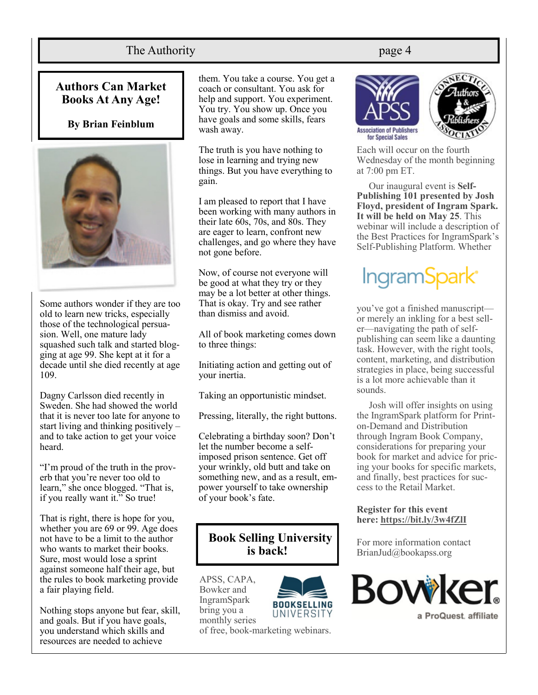# The Authority **page 4**

**Authors Can Market Books At Any Age!**

#### **By Brian Feinblum**



Some authors wonder if they are too old to learn new tricks, especially those of the technological persuasion. Well, one mature lady squashed such talk and started blogging at age 99. She kept at it for a decade until she died recently at age 109.

Dagny Carlsson died recently in Sweden. She had showed the world that it is never too late for anyone to start living and thinking positively – and to take action to get your voice heard.

"I'm proud of the truth in the proverb that you're never too old to learn," she once blogged. "That is, if you really want it." So true!

That is right, there is hope for you, whether you are 69 or 99. Age does not have to be a limit to the author who wants to market their books. Sure, most would lose a sprint against someone half their age, but the rules to book marketing provide a fair playing field.

Nothing stops anyone but fear, skill, and goals. But if you have goals, you understand which skills and resources are needed to achieve

them. You take a course. You get a coach or consultant. You ask for help and support. You experiment. You try. You show up. Once you have goals and some skills, fears wash away.

The truth is you have nothing to lose in learning and trying new things. But you have everything to gain.

I am pleased to report that I have been working with many authors in their late 60s, 70s, and 80s. They are eager to learn, confront new challenges, and go where they have not gone before.

Now, of course not everyone will be good at what they try or they may be a lot better at other things. That is okay. Try and see rather than dismiss and avoid.

All of book marketing comes down to three things:

Initiating action and getting out of your inertia.

Taking an opportunistic mindset.

Pressing, literally, the right buttons.

Celebrating a birthday soon? Don't let the number become a selfimposed prison sentence. Get off your wrinkly, old butt and take on something new, and as a result, empower yourself to take ownership of your book's fate.

# **Book Selling University is back!**

APSS, CAPA, Bowker and **IngramSpark** bring you a monthly series



of free, book-marketing webinars.





Each will occur on the fourth Wednesday of the month beginning at 7:00 pm ET.

Our inaugural event is **Self-Publishing 101 presented by Josh Floyd, president of Ingram Spark. It will be held on May 25**. This webinar will include a description of the Best Practices for IngramSpark's Self-Publishing Platform. Whether

# IngramSpark<sup>®</sup>

you've got a finished manuscript or merely an inkling for a best seller—navigating the path of selfpublishing can seem like a daunting task. However, with the right tools, content, marketing, and distribution strategies in place, being successful is a lot more achievable than it sounds.

Josh will offer insights on using the IngramSpark platform for Printon-Demand and Distribution through Ingram Book Company, considerations for preparing your book for market and advice for pricing your books for specific markets, and finally, best practices for success to the Retail Market.

#### **Register for this event here: <https://bit.ly/3w4fZlI>**

For more information contact BrianJud@bookapss.org

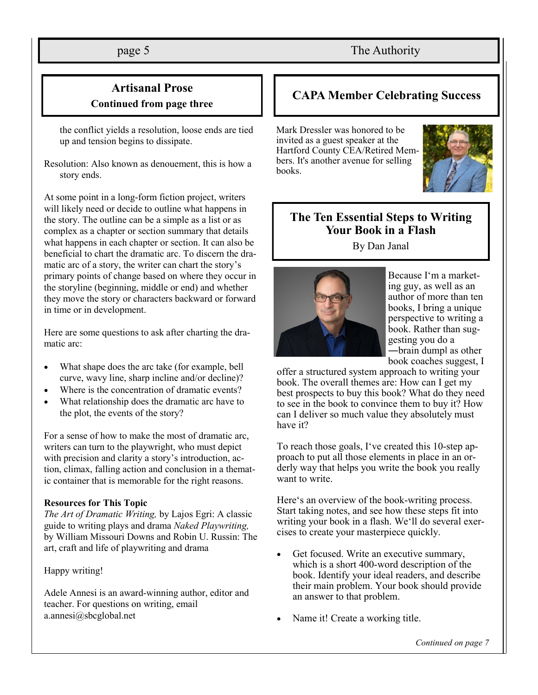# page 5 The Authority

# **Artisanal Prose Continued from page three**

the conflict yields a resolution, loose ends are tied up and tension begins to dissipate.

Resolution: Also known as denouement, this is how a story ends.

At some point in a long-form fiction project, writers will likely need or decide to outline what happens in the story. The outline can be a simple as a list or as complex as a chapter or section summary that details what happens in each chapter or section. It can also be beneficial to chart the dramatic arc. To discern the dramatic arc of a story, the writer can chart the story's primary points of change based on where they occur in the storyline (beginning, middle or end) and whether they move the story or characters backward or forward in time or in development.

Here are some questions to ask after charting the dramatic arc:

- What shape does the arc take (for example, bell curve, wavy line, sharp incline and/or decline)?
- Where is the concentration of dramatic events?
- What relationship does the dramatic arc have to the plot, the events of the story?

For a sense of how to make the most of dramatic arc, writers can turn to the playwright, who must depict with precision and clarity a story's introduction, action, climax, falling action and conclusion in a thematic container that is memorable for the right reasons.

#### **Resources for This Topic**

*The Art of Dramatic Writing,* by Lajos Egri: A classic guide to writing plays and drama *Naked Playwriting,* by William Missouri Downs and Robin U. Russin: The art, craft and life of playwriting and drama

#### Happy writing!

Adele Annesi is an award-winning author, editor and teacher. For questions on writing, email a.annesi@sbcglobal.net

# **CAPA Member Celebrating Success**

Mark Dressler was honored to be invited as a guest speaker at the Hartford County CEA/Retired Members. It's another avenue for selling books.



# **The Ten Essential Steps to Writing Your Book in a Flash**

By Dan Janal



Because I'm a marketing guy, as well as an author of more than ten books, I bring a unique perspective to writing a book. Rather than suggesting you do a ―brain dump‖ as other book coaches suggest, I

offer a structured system approach to writing your book. The overall themes are: How can I get my best prospects to buy this book? What do they need to see in the book to convince them to buy it? How can I deliver so much value they absolutely must have it?

To reach those goals, I've created this 10-step approach to put all those elements in place in an orderly way that helps you write the book you really want to write.

Here's an overview of the book-writing process. Start taking notes, and see how these steps fit into writing your book in a flash. We'll do several exercises to create your masterpiece quickly.

- Get focused. Write an executive summary, which is a short 400-word description of the book. Identify your ideal readers, and describe their main problem. Your book should provide an answer to that problem.
- Name it! Create a working title.

*Continued on page 7*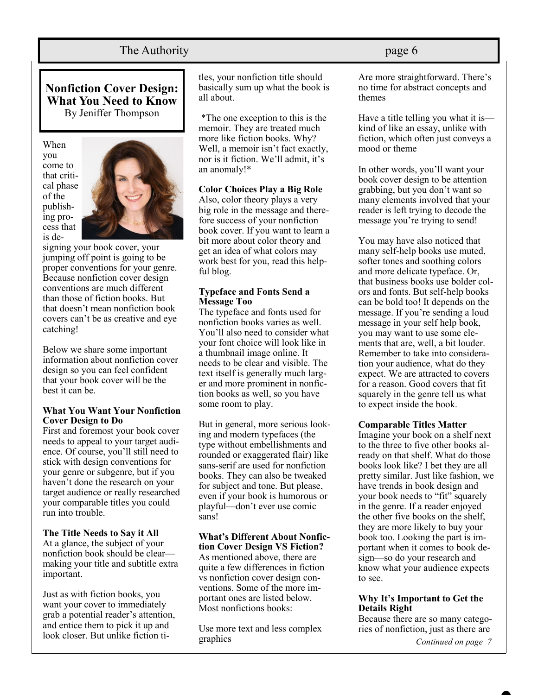# The Authority **page 6**

**Nonfiction Cover Design: What You Need to Know** By Jeniffer Thompson





signing your book cover, your jumping off point is going to be proper conventions for your genre. Because nonfiction cover design conventions are much different than those of fiction books. But that doesn't mean nonfiction book covers can't be as creative and eye catching!

Below we share some important information about nonfiction cover design so you can feel confident that your book cover will be the best it can be.

#### **What You Want Your Nonfiction Cover Design to Do**

First and foremost your book cover needs to appeal to your target audience. Of course, you'll still need to stick with design conventions for your genre or subgenre, but if you haven't done the research on your target audience or really researched your comparable titles you could run into trouble.

**The Title Needs to Say it All** At a glance, the subject of your nonfiction book should be clear making your title and subtitle extra important.

Just as with fiction books, you want your cover to immediately grab a potential reader's attention, and entice them to pick it up and look closer. But unlike fiction ti-

tles, your nonfiction title should basically sum up what the book is all about.

\*The one exception to this is the memoir. They are treated much more like fiction books. Why? Well, a memoir isn't fact exactly, nor is it fiction. We'll admit, it's an anomaly!\*

#### **Color Choices Play a Big Role**

Also, color theory plays a very big role in the message and therefore success of your nonfiction book cover. If you want to learn a bit more about color theory and get an idea of what colors may work best for you, read this helpful blog.

#### **Typeface and Fonts Send a Message Too**

The typeface and fonts used for nonfiction books varies as well. You'll also need to consider what your font choice will look like in a thumbnail image online. It needs to be clear and visible. The text itself is generally much larger and more prominent in nonfiction books as well, so you have some room to play.

But in general, more serious looking and modern typefaces (the type without embellishments and rounded or exaggerated flair) like sans-serif are used for nonfiction books. They can also be tweaked for subject and tone. But please, even if your book is humorous or playful—don't ever use comic sans!

#### **What's Different About Nonfiction Cover Design VS Fiction?**

As mentioned above, there are quite a few differences in fiction vs nonfiction cover design conventions. Some of the more important ones are listed below. Most nonfictions books:

Use more text and less complex graphics

Are more straightforward. There's no time for abstract concepts and themes

Have a title telling you what it is kind of like an essay, unlike with fiction, which often just conveys a mood or theme

In other words, you'll want your book cover design to be attention grabbing, but you don't want so many elements involved that your reader is left trying to decode the message you're trying to send!

You may have also noticed that many self-help books use muted, softer tones and soothing colors and more delicate typeface. Or, that business books use bolder colors and fonts. But self-help books can be bold too! It depends on the message. If you're sending a loud message in your self help book, you may want to use some elements that are, well, a bit louder. Remember to take into consideration your audience, what do they expect. We are attracted to covers for a reason. Good covers that fit squarely in the genre tell us what to expect inside the book.

#### **Comparable Titles Matter**

Imagine your book on a shelf next to the three to five other books already on that shelf. What do those books look like? I bet they are all pretty similar. Just like fashion, we have trends in book design and your book needs to "fit" squarely in the genre. If a reader enjoyed the other five books on the shelf, they are more likely to buy your book too. Looking the part is important when it comes to book design—so do your research and know what your audience expects to see.

#### **Why It's Important to Get the Details Right**

Because there are so many categories of nonfiction, just as there are

*Continued on page 7*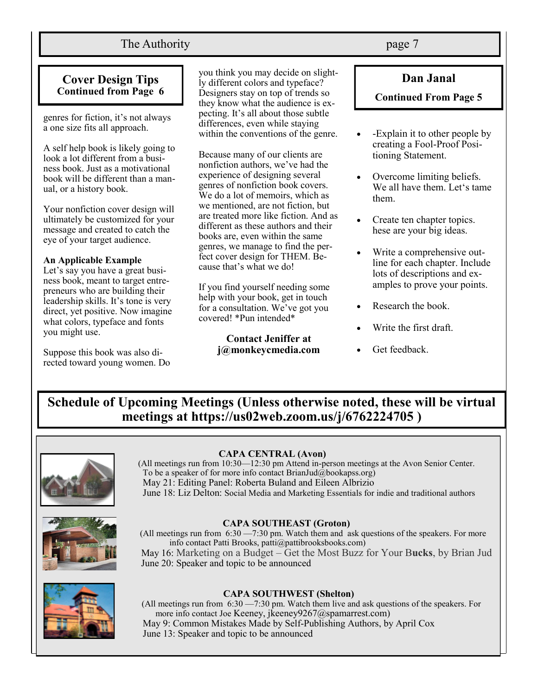# The Authority **page 7**

### **Cover Design Tips Continued from Page 6**

genres for fiction, it's not always a one size fits all approach.

A self help book is likely going to look a lot different from a business book. Just as a motivational book will be different than a manual, or a history book.

Your nonfiction cover design will ultimately be customized for your message and created to catch the eye of your target audience.

#### **An Applicable Example**

Let's say you have a great business book, meant to target entrepreneurs who are building their leadership skills. It's tone is very direct, yet positive. Now imagine what colors, typeface and fonts you might use.

Suppose this book was also directed toward young women. Do

you think you may decide on slightly different colors and typeface? Designers stay on top of trends so they know what the audience is expecting. It's all about those subtle differences, even while staying within the conventions of the genre.

Because many of our clients are nonfiction authors, we've had the experience of designing several genres of nonfiction book covers. We do a lot of memoirs, which as we mentioned, are not fiction, but are treated more like fiction. And as different as these authors and their books are, even within the same genres, we manage to find the perfect cover design for THEM. Because that's what we do!

If you find yourself needing some help with your book, get in touch for a consultation. We've got you covered! \*Pun intended\*

> **Contact Jeniffer at j@monkeycmedia.com**

**Dan Janal Continued From Page 5**

#### • -Explain it to other people by creating a Fool-Proof Positioning Statement.

- Overcome limiting beliefs. We all have them. Let's tame them.
- Create ten chapter topics. hese are your big ideas.
- Write a comprehensive outline for each chapter. Include lots of descriptions and examples to prove your points.
- Research the book.
- Write the first draft.
- Get feedback.

# **Schedule of Upcoming Meetings (Unless otherwise noted, these will be virtual meetings at https://us02web.zoom.us/j/6762224705 )**



#### **CAPA CENTRAL (Avon)**

(All meetings run from 10:30—12:30 pm Attend in-person meetings at the Avon Senior Center. To be a speaker of for more info contact BrianJud@bookapss.org) May 21: Editing Panel: Roberta Buland and Eileen Albrizio June 18: Liz Delton: Social Media and Marketing Essentials for indie and traditional authors



#### **CAPA SOUTHEAST (Groton)**

(All meetings run from 6:30 —7:30 pm. Watch them and ask questions of the speakers. For more info contact Patti Brooks, patti@pattibrooksbooks.com) May 16: Marketing on a Budget – Get the Most Buzz for Your B**ucks**, by Brian Jud June 20: Speaker and topic to be announced



#### **CAPA SOUTHWEST (Shelton)**

(All meetings run from 6:30 —7:30 pm. Watch them live and ask questions of the speakers. For more info contact Joe Keeney, jkeeney9267@spamarrest.com) May 9: Common Mistakes Made by Self-Publishing Authors, by April Cox June 13: Speaker and topic to be announced